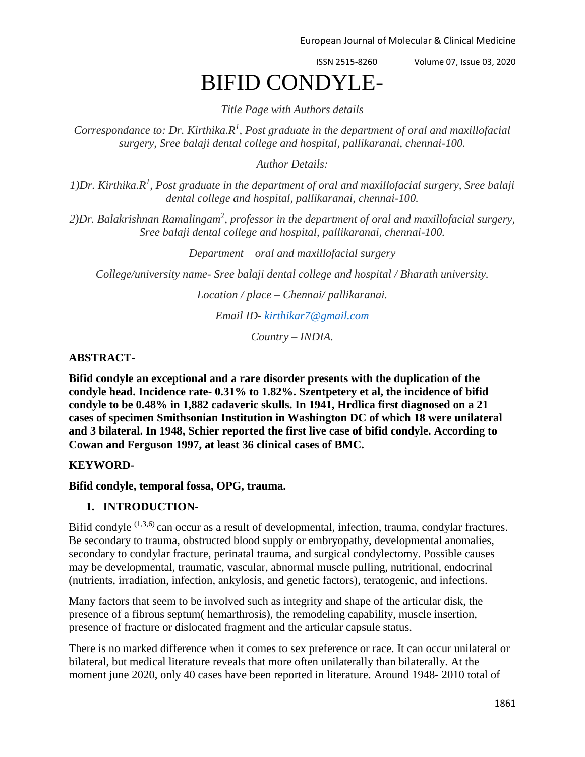ISSN 2515-8260 Volume 07, Issue 03, 2020

# BIFID CONDYLE-

*Title Page with Authors details*

*Correspondance to: Dr. Kirthika.R<sup>1</sup> , Post graduate in the department of oral and maxillofacial surgery, Sree balaji dental college and hospital, pallikaranai, chennai-100.*

*Author Details:*

*1)Dr. Kirthika.R<sup>1</sup> , Post graduate in the department of oral and maxillofacial surgery, Sree balaji dental college and hospital, pallikaranai, chennai-100.*

*2)Dr. Balakrishnan Ramalingam<sup>2</sup> , professor in the department of oral and maxillofacial surgery, Sree balaji dental college and hospital, pallikaranai, chennai-100.*

*Department – oral and maxillofacial surgery*

*College/university name- Sree balaji dental college and hospital / Bharath university.*

*Location / place – Chennai/ pallikaranai.*

*Email ID- [kirthikar7@gmail.com](mailto:kirthikar7@gmail.com)*

*Country – INDIA.*

### **ABSTRACT-**

**Bifid condyle an exceptional and a rare disorder presents with the duplication of the condyle head. Incidence rate- 0.31% to 1.82%. Szentpetery et al, the incidence of bifid condyle to be 0.48% in 1,882 cadaveric skulls. In 1941, Hrdlica first diagnosed on a 21 cases of specimen Smithsonian Institution in Washington DC of which 18 were unilateral and 3 bilateral. In 1948, Schier reported the first live case of bifid condyle. According to Cowan and Ferguson 1997, at least 36 clinical cases of BMC.**

## **KEYWORD-**

#### **Bifid condyle, temporal fossa, OPG, trauma.**

#### **1. INTRODUCTION-**

Bifid condyle  $(1,3,6)$  can occur as a result of developmental, infection, trauma, condylar fractures. Be secondary to trauma, obstructed blood supply or embryopathy, developmental anomalies, secondary to condylar fracture, perinatal trauma, and surgical condylectomy. Possible causes may be developmental, traumatic, vascular, abnormal muscle pulling, nutritional, endocrinal (nutrients, irradiation, infection, ankylosis, and genetic factors), teratogenic, and infections.

Many factors that seem to be involved such as integrity and shape of the articular disk, the presence of a fibrous septum( hemarthrosis), the remodeling capability, muscle insertion, presence of fracture or dislocated fragment and the articular capsule status.

There is no marked difference when it comes to sex preference or race. It can occur unilateral or bilateral, but medical literature reveals that more often unilaterally than bilaterally. At the moment june 2020, only 40 cases have been reported in literature. Around 1948- 2010 total of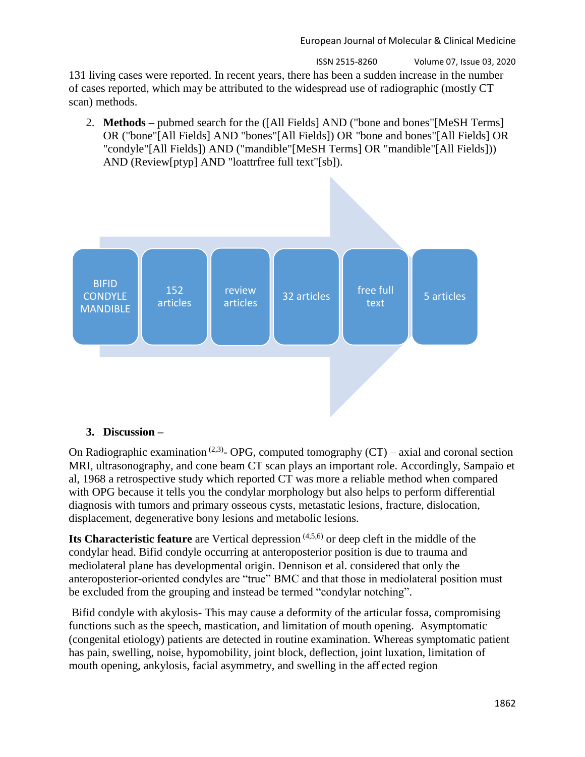ISSN 2515-8260 Volume 07, Issue 03, 2020 131 living cases were reported. In recent years, there has been a sudden increase in the number of cases reported, which may be attributed to the widespread use of radiographic (mostly CT scan) methods.

2. **Methods –** pubmed search for the ([All Fields] AND ("bone and bones"[MeSH Terms] OR ("bone"[All Fields] AND "bones"[All Fields]) OR "bone and bones"[All Fields] OR "condyle"[All Fields]) AND ("mandible"[MeSH Terms] OR "mandible"[All Fields])) AND (Review[ptyp] AND "loattrfree full text"[sb]).



#### **3. Discussion –**

On Radiographic examination<sup>(2,3)</sup>- OPG, computed tomography  $(CT)$  – axial and coronal section MRI, ultrasonography, and cone beam CT scan plays an important role. Accordingly, Sampaio et al, 1968 a retrospective study which reported CT was more a reliable method when compared with OPG because it tells you the condylar morphology but also helps to perform differential diagnosis with tumors and primary osseous cysts, metastatic lesions, fracture, dislocation, displacement, degenerative bony lesions and metabolic lesions.

**Its Characteristic feature** are Vertical depression <sup>(4,5,6)</sup> or deep cleft in the middle of the condylar head. Bifid condyle occurring at anteroposterior position is due to trauma and mediolateral plane has developmental origin. Dennison et al. considered that only the anteroposterior-oriented condyles are "true" BMC and that those in mediolateral position must be excluded from the grouping and instead be termed "condylar notching".

Bifid condyle with akylosis- This may cause a deformity of the articular fossa, compromising functions such as the speech, mastication, and limitation of mouth opening. Asymptomatic (congenital etiology) patients are detected in routine examination. Whereas symptomatic patient has pain, swelling, noise, hypomobility, joint block, deflection, joint luxation, limitation of mouth opening, ankylosis, facial asymmetry, and swelling in the aff ected region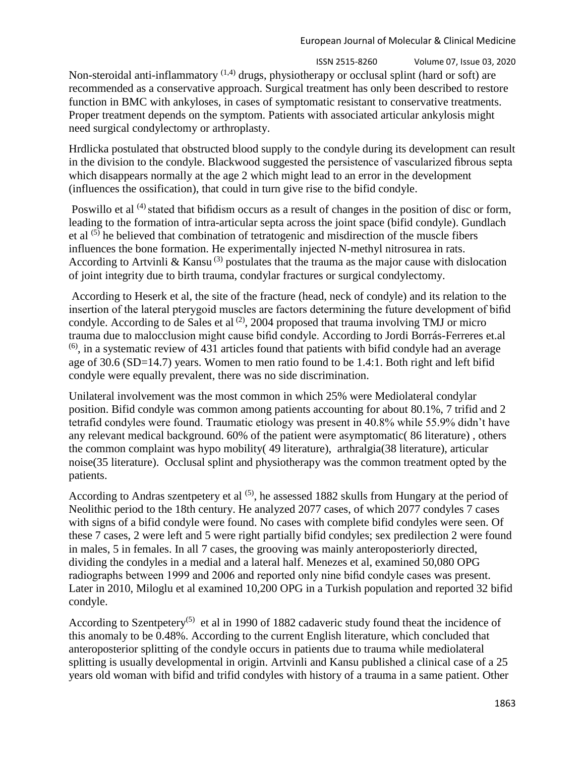ISSN 2515-8260 Volume 07, Issue 03, 2020 Non-steroidal anti-inflammatory  $(1,4)$  drugs, physiotherapy or occlusal splint (hard or soft) are recommended as a conservative approach. Surgical treatment has only been described to restore function in BMC with ankyloses, in cases of symptomatic resistant to conservative treatments. Proper treatment depends on the symptom. Patients with associated articular ankylosis might need surgical condylectomy or arthroplasty.

Hrdlicka postulated that obstructed blood supply to the condyle during its development can result in the division to the condyle. Blackwood suggested the persistence of vascularized fibrous septa which disappears normally at the age 2 which might lead to an error in the development (influences the ossification), that could in turn give rise to the bifid condyle.

Poswillo et al <sup>(4)</sup> stated that bifidism occurs as a result of changes in the position of disc or form, leading to the formation of intra-articular septa across the joint space (bifid condyle). Gundlach et al <sup>(5)</sup> he believed that combination of tetratogenic and misdirection of the muscle fibers influences the bone formation. He experimentally injected N-methyl nitrosurea in rats. According to Artvinli & Kansu<sup>(3)</sup> postulates that the trauma as the major cause with dislocation of joint integrity due to birth trauma, condylar fractures or surgical condylectomy.

According to Heserk et al, the site of the fracture (head, neck of condyle) and its relation to the insertion of the lateral pterygoid muscles are factors determining the future development of bifid condyle. According to de Sales et al  $^{(2)}$ , 2004 proposed that trauma involving TMJ or micro trauma due to malocclusion might cause bifid condyle. According to Jordi Borrás-Ferreres et.al  $(6)$ , in a systematic review of 431 articles found that patients with bifid condyle had an average age of 30.6 (SD=14.7) years. Women to men ratio found to be 1.4:1. Both right and left bifid condyle were equally prevalent, there was no side discrimination.

Unilateral involvement was the most common in which 25% were Mediolateral condylar position. Bifid condyle was common among patients accounting for about 80.1%, 7 trifid and 2 tetrafid condyles were found. Traumatic etiology was present in 40.8% while 55.9% didn't have any relevant medical background. 60% of the patient were asymptomatic( 86 literature) , others the common complaint was hypo mobility( 49 literature), arthralgia(38 literature), articular noise(35 literature). Occlusal splint and physiotherapy was the common treatment opted by the patients.

According to Andras szentpetery et al  $(5)$ , he assessed 1882 skulls from Hungary at the period of Neolithic period to the 18th century. He analyzed 2077 cases, of which 2077 condyles 7 cases with signs of a bifid condyle were found. No cases with complete bifid condyles were seen. Of these 7 cases, 2 were left and 5 were right partially bifid condyles; sex predilection 2 were found in males, 5 in females. In all 7 cases, the grooving was mainly anteroposteriorly directed, dividing the condyles in a medial and a lateral half. Menezes et al, examined 50,080 OPG radiographs between 1999 and 2006 and reported only nine bifid condyle cases was present. Later in 2010, Miloglu et al examined 10,200 OPG in a Turkish population and reported 32 bifid condyle.

According to Szentpetery<sup>(5)</sup> et al in 1990 of 1882 cadaveric study found theat the incidence of this anomaly to be 0.48%. According to the current English literature, which concluded that anteroposterior splitting of the condyle occurs in patients due to trauma while mediolateral splitting is usually developmental in origin. Artvinli and Kansu published a clinical case of a 25 years old woman with bifid and trifid condyles with history of a trauma in a same patient. Other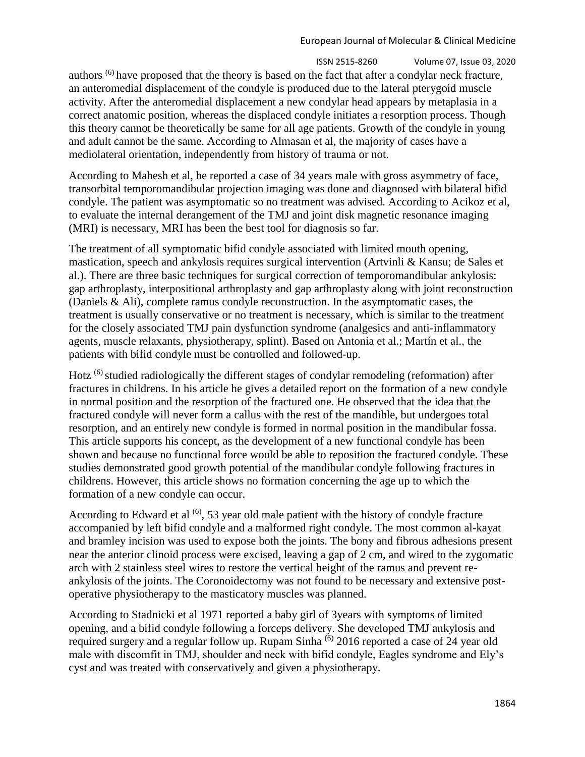ISSN 2515-8260 Volume 07, Issue 03, 2020 authors (6) have proposed that the theory is based on the fact that after a condylar neck fracture, an anteromedial displacement of the condyle is produced due to the lateral pterygoid muscle activity. After the anteromedial displacement a new condylar head appears by metaplasia in a correct anatomic position, whereas the displaced condyle initiates a resorption process. Though this theory cannot be theoretically be same for all age patients. Growth of the condyle in young and adult cannot be the same. According to Almasan et al, the majority of cases have a mediolateral orientation, independently from history of trauma or not.

According to Mahesh et al, he reported a case of 34 years male with gross asymmetry of face, transorbital temporomandibular projection imaging was done and diagnosed with bilateral bifid condyle. The patient was asymptomatic so no treatment was advised. According to Acikoz et al, to evaluate the internal derangement of the TMJ and joint disk magnetic resonance imaging (MRI) is necessary, MRI has been the best tool for diagnosis so far.

The treatment of all symptomatic bifid condyle associated with limited mouth opening, mastication, speech and ankylosis requires surgical intervention (Artvinli & Kansu; de Sales et al.). There are three basic techniques for surgical correction of temporomandibular ankylosis: gap arthroplasty, interpositional arthroplasty and gap arthroplasty along with joint reconstruction (Daniels & Ali), complete ramus condyle reconstruction. In the asymptomatic cases, the treatment is usually conservative or no treatment is necessary, which is similar to the treatment for the closely associated TMJ pain dysfunction syndrome (analgesics and anti-inflammatory agents, muscle relaxants, physiotherapy, splint). Based on Antonia et al.; Martín et al., the patients with bifid condyle must be controlled and followed-up.

Hotz (6) studied radiologically the different stages of condylar remodeling (reformation) after fractures in childrens. In his article he gives a detailed report on the formation of a new condyle in normal position and the resorption of the fractured one. He observed that the idea that the fractured condyle will never form a callus with the rest of the mandible, but undergoes total resorption, and an entirely new condyle is formed in normal position in the mandibular fossa. This article supports his concept, as the development of a new functional condyle has been shown and because no functional force would be able to reposition the fractured condyle. These studies demonstrated good growth potential of the mandibular condyle following fractures in childrens. However, this article shows no formation concerning the age up to which the formation of a new condyle can occur.

According to Edward et al  $(6)$ , 53 year old male patient with the history of condyle fracture accompanied by left bifid condyle and a malformed right condyle. The most common al-kayat and bramley incision was used to expose both the joints. The bony and fibrous adhesions present near the anterior clinoid process were excised, leaving a gap of 2 cm, and wired to the zygomatic arch with 2 stainless steel wires to restore the vertical height of the ramus and prevent reankylosis of the joints. The Coronoidectomy was not found to be necessary and extensive postoperative physiotherapy to the masticatory muscles was planned.

According to Stadnicki et al 1971 reported a baby girl of 3years with symptoms of limited opening, and a bifid condyle following a forceps delivery. She developed TMJ ankylosis and required surgery and a regular follow up. Rupam Sinha <sup>(6)</sup> 2016 reported a case of 24 year old male with discomfit in TMJ, shoulder and neck with bifid condyle, Eagles syndrome and Ely's cyst and was treated with conservatively and given a physiotherapy.